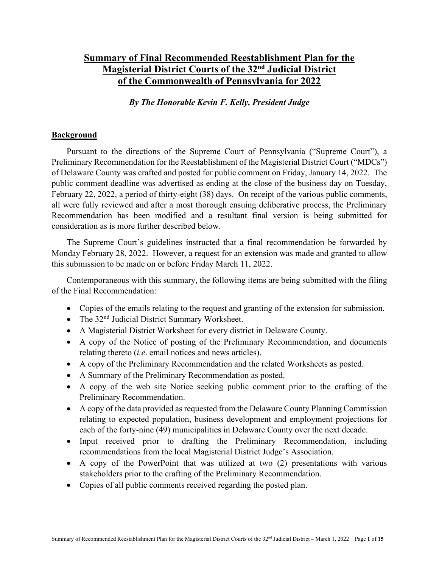## **Summary of Final Recommended Reestablishment Plan for the Magisterial District Courts of the 32nd Judicial District of the Commonwealth of Pennsylvania for 2022**

*By The Honorable Kevin F. Kelly, President Judge*

#### **Background**

Pursuant to the directions of the Supreme Court of Pennsylvania ("Supreme Court"), a Preliminary Recommendation for the Reestablishment of the Magisterial District Court ("MDCs") of Delaware County was crafted and posted for public comment on Friday, January 14, 2022. The public comment deadline was advertised as ending at the close of the business day on Tuesday, February 22, 2022, a period of thirty-eight (38) days. On receipt of the various public comments, all were fully reviewed and after a most thorough ensuing deliberative process, the Preliminary Recommendation has been modified and a resultant final version is being submitted for consideration as is more further described below.

The Supreme Court's guidelines instructed that a final recommendation be forwarded by Monday February 28, 2022. However, a request for an extension was made and granted to allow this submission to be made on or before Friday March 11, 2022.

Contemporaneous with this summary, the following items are being submitted with the filing of the Final Recommendation:

- Copies of the emails relating to the request and granting of the extension for submission.
- The 32<sup>nd</sup> Judicial District Summary Worksheet.
- A Magisterial District Worksheet for every district in Delaware County.
- A copy of the Notice of posting of the Preliminary Recommendation, and documents relating thereto (*i.e*. email notices and news articles).
- A copy of the Preliminary Recommendation and the related Worksheets as posted.
- A Summary of the Preliminary Recommendation as posted.
- A copy of the web site Notice seeking public comment prior to the crafting of the Preliminary Recommendation.
- A copy of the data provided as requested from the Delaware County Planning Commission relating to expected population, business development and employment projections for each of the forty-nine (49) municipalities in Delaware County over the next decade.
- Input received prior to drafting the Preliminary Recommendation, including recommendations from the local Magisterial District Judge's Association.
- A copy of the PowerPoint that was utilized at two (2) presentations with various stakeholders prior to the crafting of the Preliminary Recommendation.
- Copies of all public comments received regarding the posted plan.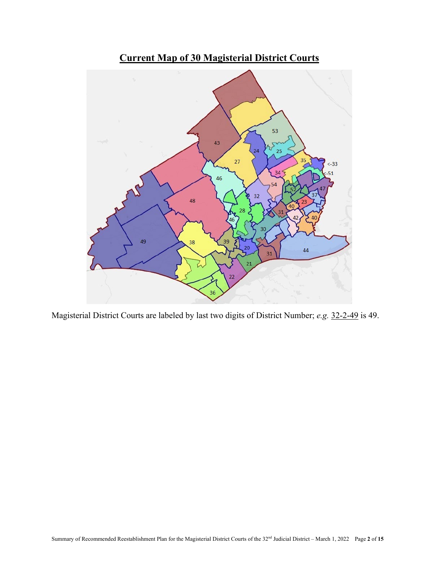

Magisterial District Courts are labeled by last two digits of District Number; *e.g.* 32-2-49 is 49.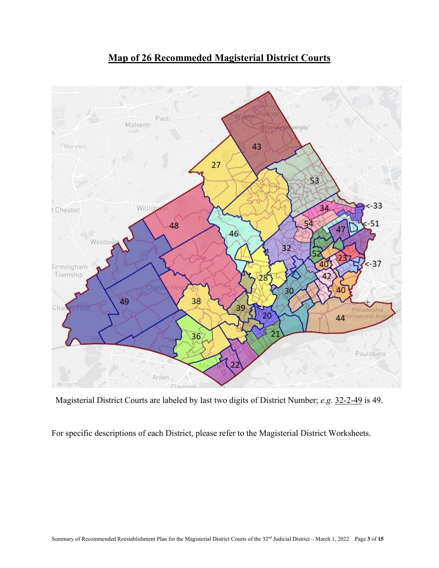

# **Map of 26 Recommeded Magisterial District Courts**

Magisterial District Courts are labeled by last two digits of District Number; *e.g.* 32-2-49 is 49.

For specific descriptions of each District, please refer to the Magisterial District Worksheets.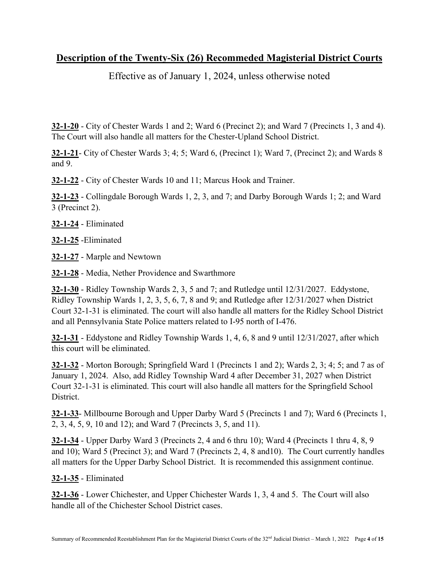## **Description of the Twenty-Six (26) Recommeded Magisterial District Courts**

Effective as of January 1, 2024, unless otherwise noted

**32-1-20** - City of Chester Wards 1 and 2; Ward 6 (Precinct 2); and Ward 7 (Precincts 1, 3 and 4). The Court will also handle all matters for the Chester-Upland School District.

**32-1-21**- City of Chester Wards 3; 4; 5; Ward 6, (Precinct 1); Ward 7, (Precinct 2); and Wards 8 and 9.

**32-1-22** - City of Chester Wards 10 and 11; Marcus Hook and Trainer.

**32-1-23** - Collingdale Borough Wards 1, 2, 3, and 7; and Darby Borough Wards 1; 2; and Ward 3 (Precinct 2).

**32-1-24** - Eliminated

**32-1-25** -Eliminated

**32-1-27** - Marple and Newtown

**32-1-28** - Media, Nether Providence and Swarthmore

**32-1-30** - Ridley Township Wards 2, 3, 5 and 7; and Rutledge until 12/31/2027. Eddystone, Ridley Township Wards 1, 2, 3, 5, 6, 7, 8 and 9; and Rutledge after 12/31/2027 when District Court 32-1-31 is eliminated. The court will also handle all matters for the Ridley School District and all Pennsylvania State Police matters related to I-95 north of I-476.

**32-1-31** - Eddystone and Ridley Township Wards 1, 4, 6, 8 and 9 until 12/31/2027, after which this court will be eliminated.

**32-1-32** - Morton Borough; Springfield Ward 1 (Precincts 1 and 2); Wards 2, 3; 4; 5; and 7 as of January 1, 2024. Also, add Ridley Township Ward 4 after December 31, 2027 when District Court 32-1-31 is eliminated. This court will also handle all matters for the Springfield School District.

**32-1-33**- Millbourne Borough and Upper Darby Ward 5 (Precincts 1 and 7); Ward 6 (Precincts 1, 2, 3, 4, 5, 9, 10 and 12); and Ward 7 (Precincts 3, 5, and 11).

**32-1-34** - Upper Darby Ward 3 (Precincts 2, 4 and 6 thru 10); Ward 4 (Precincts 1 thru 4, 8, 9 and 10); Ward 5 (Precinct 3); and Ward 7 (Precincts 2, 4, 8 and10). The Court currently handles all matters for the Upper Darby School District. It is recommended this assignment continue.

**32-1-35** - Eliminated

**32-1-36** - Lower Chichester, and Upper Chichester Wards 1, 3, 4 and 5. The Court will also handle all of the Chichester School District cases.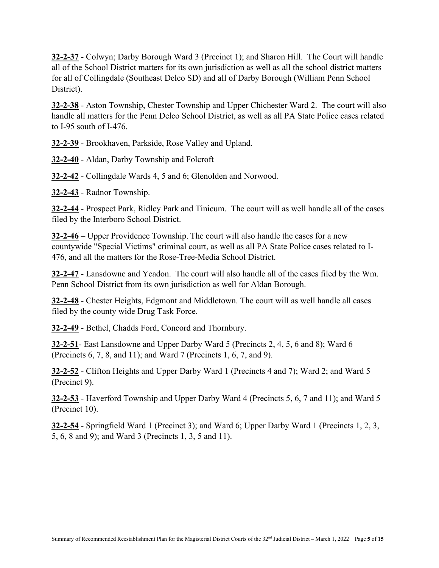**32-2-37** - Colwyn; Darby Borough Ward 3 (Precinct 1); and Sharon Hill. The Court will handle all of the School District matters for its own jurisdiction as well as all the school district matters for all of Collingdale (Southeast Delco SD) and all of Darby Borough (William Penn School District).

**32-2-38** - Aston Township, Chester Township and Upper Chichester Ward 2. The court will also handle all matters for the Penn Delco School District, as well as all PA State Police cases related to I-95 south of I-476.

**32-2-39** - Brookhaven, Parkside, Rose Valley and Upland.

**32-2-40** - Aldan, Darby Township and Folcroft

**32-2-42** - Collingdale Wards 4, 5 and 6; Glenolden and Norwood.

**32-2-43** - Radnor Township.

**32-2-44** - Prospect Park, Ridley Park and Tinicum. The court will as well handle all of the cases filed by the Interboro School District.

**32-2-46** – Upper Providence Township. The court will also handle the cases for a new countywide "Special Victims" criminal court, as well as all PA State Police cases related to I-476, and all the matters for the Rose-Tree-Media School District.

**32-2-47** - Lansdowne and Yeadon. The court will also handle all of the cases filed by the Wm. Penn School District from its own jurisdiction as well for Aldan Borough.

**32-2-48** - Chester Heights, Edgmont and Middletown. The court will as well handle all cases filed by the county wide Drug Task Force.

**32-2-49** - Bethel, Chadds Ford, Concord and Thornbury.

**32-2-51**- East Lansdowne and Upper Darby Ward 5 (Precincts 2, 4, 5, 6 and 8); Ward 6 (Precincts 6, 7, 8, and 11); and Ward 7 (Precincts 1, 6, 7, and 9).

**32-2-52** - Clifton Heights and Upper Darby Ward 1 (Precincts 4 and 7); Ward 2; and Ward 5 (Precinct 9).

**32-2-53** - Haverford Township and Upper Darby Ward 4 (Precincts 5, 6, 7 and 11); and Ward 5 (Precinct 10).

**32-2-54** - Springfield Ward 1 (Precinct 3); and Ward 6; Upper Darby Ward 1 (Precincts 1, 2, 3, 5, 6, 8 and 9); and Ward 3 (Precincts 1, 3, 5 and 11).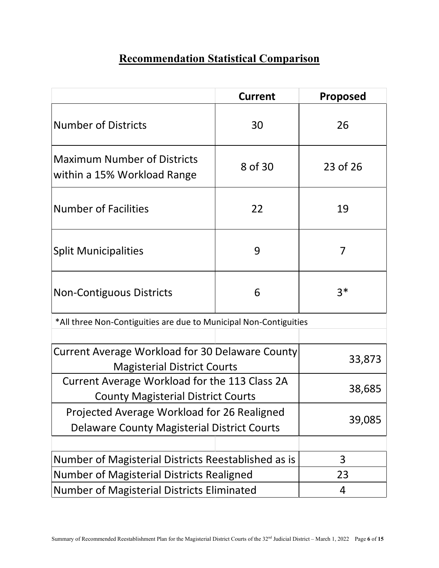# **Recommendation Statistical Comparison**

|                                                                                                                                               | <b>Current</b> | <b>Proposed</b> |  |  |  |
|-----------------------------------------------------------------------------------------------------------------------------------------------|----------------|-----------------|--|--|--|
| <b>Number of Districts</b>                                                                                                                    | 30             | 26              |  |  |  |
| <b>Maximum Number of Districts</b><br>within a 15% Workload Range                                                                             | 8 of 30        | 23 of 26        |  |  |  |
| <b>Number of Facilities</b><br>22                                                                                                             |                | 19              |  |  |  |
| <b>Split Municipalities</b>                                                                                                                   | 9              | 7               |  |  |  |
| <b>Non-Contiguous Districts</b>                                                                                                               | 6              | $3*$            |  |  |  |
| *All three Non-Contiguities are due to Municipal Non-Contiguities                                                                             |                |                 |  |  |  |
| <b>Current Average Workload for 30 Delaware County</b><br><b>Magisterial District Courts</b><br>Current Average Workload for the 113 Class 2A | 33,873         |                 |  |  |  |
| <b>County Magisterial District Courts</b>                                                                                                     | 38,685         |                 |  |  |  |
| Projected Average Workload for 26 Realigned<br><b>Delaware County Magisterial District Courts</b>                                             | 39,085         |                 |  |  |  |
|                                                                                                                                               |                |                 |  |  |  |
| Number of Magisterial Districts Reestablished as is                                                                                           | 3              |                 |  |  |  |
| Number of Magisterial Districts Realigned                                                                                                     | 23             |                 |  |  |  |
| <b>Number of Magisterial Districts Eliminated</b>                                                                                             | 4              |                 |  |  |  |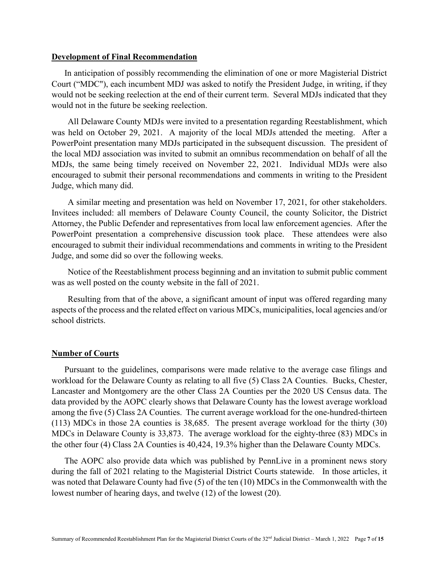#### **Development of Final Recommendation**

In anticipation of possibly recommending the elimination of one or more Magisterial District Court ("MDC"), each incumbent MDJ was asked to notify the President Judge, in writing, if they would not be seeking reelection at the end of their current term. Several MDJs indicated that they would not in the future be seeking reelection.

All Delaware County MDJs were invited to a presentation regarding Reestablishment, which was held on October 29, 2021. A majority of the local MDJs attended the meeting. After a PowerPoint presentation many MDJs participated in the subsequent discussion. The president of the local MDJ association was invited to submit an omnibus recommendation on behalf of all the MDJs, the same being timely received on November 22, 2021. Individual MDJs were also encouraged to submit their personal recommendations and comments in writing to the President Judge, which many did.

A similar meeting and presentation was held on November 17, 2021, for other stakeholders. Invitees included: all members of Delaware County Council, the county Solicitor, the District Attorney, the Public Defender and representatives from local law enforcement agencies. After the PowerPoint presentation a comprehensive discussion took place. These attendees were also encouraged to submit their individual recommendations and comments in writing to the President Judge, and some did so over the following weeks.

Notice of the Reestablishment process beginning and an invitation to submit public comment was as well posted on the county website in the fall of 2021.

Resulting from that of the above, a significant amount of input was offered regarding many aspects of the process and the related effect on various MDCs, municipalities, local agencies and/or school districts.

#### **Number of Courts**

Pursuant to the guidelines, comparisons were made relative to the average case filings and workload for the Delaware County as relating to all five (5) Class 2A Counties. Bucks, Chester, Lancaster and Montgomery are the other Class 2A Counties per the 2020 US Census data. The data provided by the AOPC clearly shows that Delaware County has the lowest average workload among the five (5) Class 2A Counties. The current average workload for the one-hundred-thirteen (113) MDCs in those 2A counties is 38,685. The present average workload for the thirty (30) MDCs in Delaware County is 33,873. The average workload for the eighty-three (83) MDCs in the other four (4) Class 2A Counties is 40,424, 19.3% higher than the Delaware County MDCs.

The AOPC also provide data which was published by PennLive in a prominent news story during the fall of 2021 relating to the Magisterial District Courts statewide. In those articles, it was noted that Delaware County had five (5) of the ten (10) MDCs in the Commonwealth with the lowest number of hearing days, and twelve (12) of the lowest (20).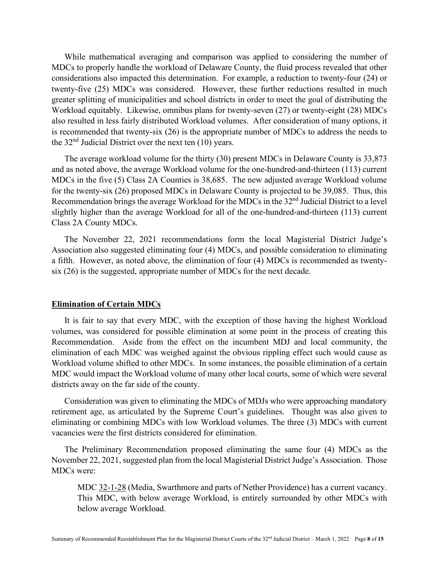While mathematical averaging and comparison was applied to considering the number of MDCs to properly handle the workload of Delaware County, the fluid process revealed that other considerations also impacted this determination. For example, a reduction to twenty-four (24) or twenty-five (25) MDCs was considered. However, these further reductions resulted in much greater splitting of municipalities and school districts in order to meet the goal of distributing the Workload equitably. Likewise, omnibus plans for twenty-seven (27) or twenty-eight (28) MDCs also resulted in less fairly distributed Workload volumes. After consideration of many options, it is recommended that twenty-six (26) is the appropriate number of MDCs to address the needs to the  $32<sup>nd</sup>$  Judicial District over the next ten (10) years.

The average workload volume for the thirty (30) present MDCs in Delaware County is 33,873 and as noted above, the average Workload volume for the one-hundred-and-thirteen (113) current MDCs in the five (5) Class 2A Counties is 38,685. The new adjusted average Workload volume for the twenty-six (26) proposed MDCs in Delaware County is projected to be 39,085. Thus, this Recommendation brings the average Workload for the MDCs in the 32nd Judicial District to a level slightly higher than the average Workload for all of the one-hundred-and-thirteen (113) current Class 2A County MDCs.

The November 22, 2021 recommendations form the local Magisterial District Judge's Association also suggested eliminating four (4) MDCs, and possible consideration to eliminating a fifth. However, as noted above, the elimination of four (4) MDCs is recommended as twentysix (26) is the suggested, appropriate number of MDCs for the next decade.

#### **Elimination of Certain MDCs**

It is fair to say that every MDC, with the exception of those having the highest Workload volumes, was considered for possible elimination at some point in the process of creating this Recommendation. Aside from the effect on the incumbent MDJ and local community, the elimination of each MDC was weighed against the obvious rippling effect such would cause as Workload volume shifted to other MDCs. In some instances, the possible elimination of a certain MDC would impact the Workload volume of many other local courts, some of which were several districts away on the far side of the county.

Consideration was given to eliminating the MDCs of MDJs who were approaching mandatory retirement age, as articulated by the Supreme Court's guidelines. Thought was also given to eliminating or combining MDCs with low Workload volumes. The three (3) MDCs with current vacancies were the first districts considered for elimination.

The Preliminary Recommendation proposed eliminating the same four (4) MDCs as the November 22, 2021, suggested plan from the local Magisterial District Judge's Association. Those MDCs were:

MDC 32-1-28 (Media, Swarthmore and parts of Nether Providence) has a current vacancy. This MDC, with below average Workload, is entirely surrounded by other MDCs with below average Workload.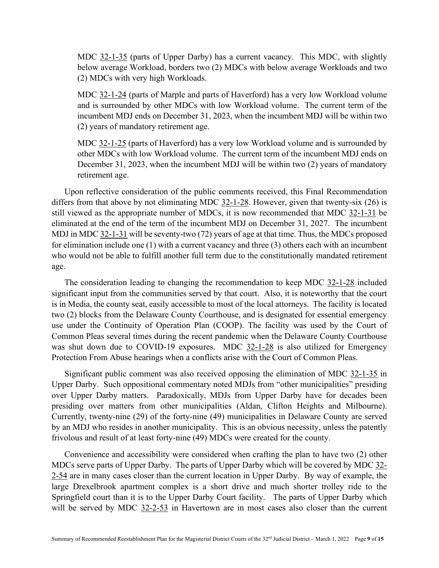MDC 32-1-35 (parts of Upper Darby) has a current vacancy. This MDC, with slightly below average Workload, borders two (2) MDCs with below average Workloads and two (2) MDCs with very high Workloads.

MDC 32-1-24 (parts of Marple and parts of Haverford) has a very low Workload volume and is surrounded by other MDCs with low Workload volume. The current term of the incumbent MDJ ends on December 31, 2023, when the incumbent MDJ will be within two (2) years of mandatory retirement age.

MDC 32-1-25 (parts of Haverford) has a very low Workload volume and is surrounded by other MDCs with low Workload volume. The current term of the incumbent MDJ ends on December 31, 2023, when the incumbent MDJ will be within two (2) years of mandatory retirement age.

Upon reflective consideration of the public comments received, this Final Recommendation differs from that above by not eliminating MDC 32-1-28. However, given that twenty-six (26) is still viewed as the appropriate number of MDCs, it is now recommended that MDC 32-1-31 be eliminated at the end of the term of the incumbent MDJ on December 31, 2027. The incumbent MDJ in MDC 32-1-31 will be seventy-two (72) years of age at that time. Thus, the MDCs proposed for elimination include one (1) with a current vacancy and three (3) others each with an incumbent who would not be able to fulfill another full term due to the constitutionally mandated retirement age.

The consideration leading to changing the recommendation to keep MDC 32-1-28 included significant input from the communities served by that court. Also, it is noteworthy that the court is in Media, the county seat, easily accessible to most of the local attorneys. The facility is located two (2) blocks from the Delaware County Courthouse, and is designated for essential emergency use under the Continuity of Operation Plan (COOP). The facility was used by the Court of Common Pleas several times during the recent pandemic when the Delaware County Courthouse was shut down due to COVID-19 exposures. MDC 32-1-28 is also utilized for Emergency Protection From Abuse hearings when a conflicts arise with the Court of Common Pleas.

Significant public comment was also received opposing the elimination of MDC 32-1-35 in Upper Darby. Such oppositional commentary noted MDJs from "other municipalities" presiding over Upper Darby matters. Paradoxically, MDJs from Upper Darby have for decades been presiding over matters from other municipalities (Aldan, Clifton Heights and Milbourne). Currently, twenty-nine (29) of the forty-nine (49) municipalities in Delaware County are served by an MDJ who resides in another municipality. This is an obvious necessity, unless the patently frivolous and result of at least forty-nine (49) MDCs were created for the county.

Convenience and accessibility were considered when crafting the plan to have two (2) other MDCs serve parts of Upper Darby. The parts of Upper Darby which will be covered by MDC 32- 2-54 are in many cases closer than the current location in Upper Darby. By way of example, the large Drexelbrook apartment complex is a short drive and much shorter trolley ride to the Springfield court than it is to the Upper Darby Court facility. The parts of Upper Darby which will be served by MDC 32-2-53 in Havertown are in most cases also closer than the current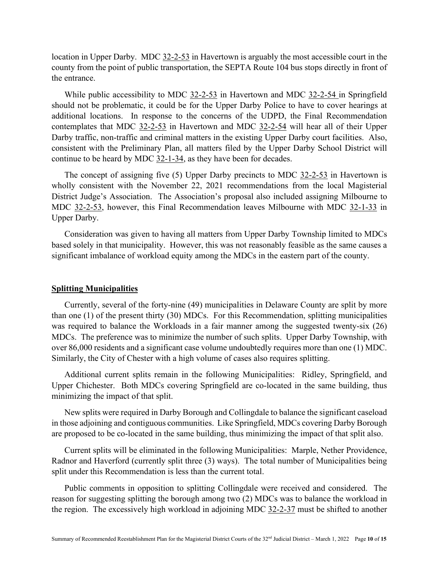location in Upper Darby. MDC 32-2-53 in Havertown is arguably the most accessible court in the county from the point of public transportation, the SEPTA Route 104 bus stops directly in front of the entrance.

While public accessibility to MDC 32-2-53 in Havertown and MDC 32-2-54 in Springfield should not be problematic, it could be for the Upper Darby Police to have to cover hearings at additional locations. In response to the concerns of the UDPD, the Final Recommendation contemplates that MDC 32-2-53 in Havertown and MDC 32-2-54 will hear all of their Upper Darby traffic, non-traffic and criminal matters in the existing Upper Darby court facilities. Also, consistent with the Preliminary Plan, all matters filed by the Upper Darby School District will continue to be heard by MDC 32-1-34, as they have been for decades.

The concept of assigning five  $(5)$  Upper Darby precincts to MDC  $32-2-53$  in Havertown is wholly consistent with the November 22, 2021 recommendations from the local Magisterial District Judge's Association. The Association's proposal also included assigning Milbourne to MDC 32-2-53, however, this Final Recommendation leaves Milbourne with MDC 32-1-33 in Upper Darby.

Consideration was given to having all matters from Upper Darby Township limited to MDCs based solely in that municipality. However, this was not reasonably feasible as the same causes a significant imbalance of workload equity among the MDCs in the eastern part of the county.

#### **Splitting Municipalities**

Currently, several of the forty-nine (49) municipalities in Delaware County are split by more than one (1) of the present thirty (30) MDCs. For this Recommendation, splitting municipalities was required to balance the Workloads in a fair manner among the suggested twenty-six (26) MDCs. The preference was to minimize the number of such splits. Upper Darby Township, with over 86,000 residents and a significant case volume undoubtedly requires more than one (1) MDC. Similarly, the City of Chester with a high volume of cases also requires splitting.

Additional current splits remain in the following Municipalities: Ridley, Springfield, and Upper Chichester. Both MDCs covering Springfield are co-located in the same building, thus minimizing the impact of that split.

New splits were required in Darby Borough and Collingdale to balance the significant caseload in those adjoining and contiguous communities. Like Springfield, MDCs covering Darby Borough are proposed to be co-located in the same building, thus minimizing the impact of that split also.

Current splits will be eliminated in the following Municipalities: Marple, Nether Providence, Radnor and Haverford (currently split three (3) ways). The total number of Municipalities being split under this Recommendation is less than the current total.

Public comments in opposition to splitting Collingdale were received and considered. The reason for suggesting splitting the borough among two (2) MDCs was to balance the workload in the region. The excessively high workload in adjoining MDC 32-2-37 must be shifted to another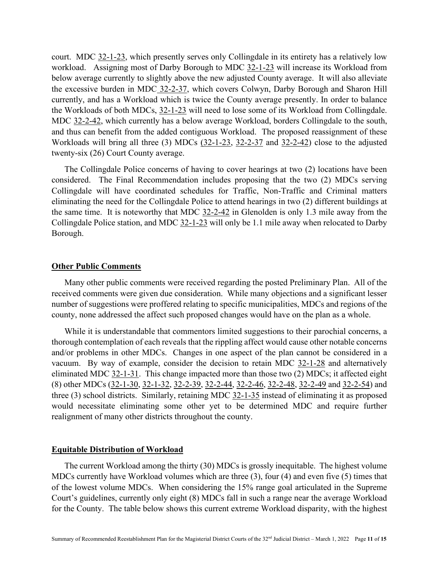court. MDC 32-1-23, which presently serves only Collingdale in its entirety has a relatively low workload. Assigning most of Darby Borough to MDC 32-1-23 will increase its Workload from below average currently to slightly above the new adjusted County average. It will also alleviate the excessive burden in MDC 32-2-37, which covers Colwyn, Darby Borough and Sharon Hill currently, and has a Workload which is twice the County average presently. In order to balance the Workloads of both MDCs, 32-1-23 will need to lose some of its Workload from Collingdale. MDC 32-2-42, which currently has a below average Workload, borders Collingdale to the south, and thus can benefit from the added contiguous Workload. The proposed reassignment of these Workloads will bring all three (3) MDCs (32-1-23, 32-2-37 and 32-2-42) close to the adjusted twenty-six (26) Court County average.

The Collingdale Police concerns of having to cover hearings at two (2) locations have been considered. The Final Recommendation includes proposing that the two (2) MDCs serving Collingdale will have coordinated schedules for Traffic, Non-Traffic and Criminal matters eliminating the need for the Collingdale Police to attend hearings in two (2) different buildings at the same time. It is noteworthy that MDC 32-2-42 in Glenolden is only 1.3 mile away from the Collingdale Police station, and MDC 32-1-23 will only be 1.1 mile away when relocated to Darby Borough.

#### **Other Public Comments**

Many other public comments were received regarding the posted Preliminary Plan. All of the received comments were given due consideration. While many objections and a significant lesser number of suggestions were proffered relating to specific municipalities, MDCs and regions of the county, none addressed the affect such proposed changes would have on the plan as a whole.

While it is understandable that commentors limited suggestions to their parochial concerns, a thorough contemplation of each reveals that the rippling affect would cause other notable concerns and/or problems in other MDCs. Changes in one aspect of the plan cannot be considered in a vacuum. By way of example, consider the decision to retain MDC 32-1-28 and alternatively eliminated MDC 32-1-31. This change impacted more than those two (2) MDCs; it affected eight (8) other MDCs (32-1-30, 32-1-32, 32-2-39, 32-2-44, 32-2-46, 32-2-48, 32-2-49 and 32-2-54) and three (3) school districts. Similarly, retaining MDC 32-1-35 instead of eliminating it as proposed would necessitate eliminating some other yet to be determined MDC and require further realignment of many other districts throughout the county.

#### **Equitable Distribution of Workload**

The current Workload among the thirty (30) MDCs is grossly inequitable. The highest volume MDCs currently have Workload volumes which are three (3), four (4) and even five (5) times that of the lowest volume MDCs. When considering the 15% range goal articulated in the Supreme Court's guidelines, currently only eight (8) MDCs fall in such a range near the average Workload for the County. The table below shows this current extreme Workload disparity, with the highest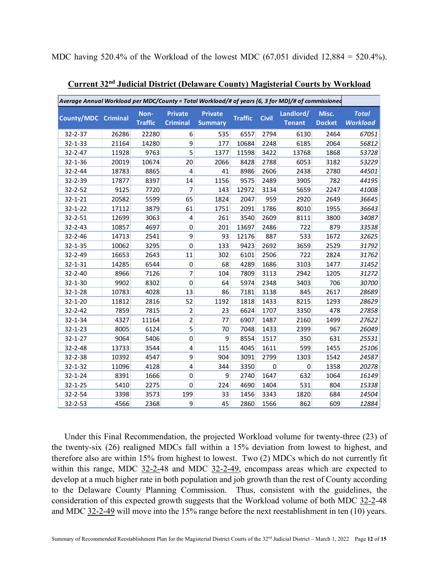MDC having 520.4% of the Workload of the lowest MDC (67,051 divided 12,884 = 520.4%).

| Average Annual Workload per MDC/County = Total Workload/# of years (6, 3 for MD)/# of commissioned |       |                        |                                   |                                  |                |              |                            |                        |                                 |
|----------------------------------------------------------------------------------------------------|-------|------------------------|-----------------------------------|----------------------------------|----------------|--------------|----------------------------|------------------------|---------------------------------|
| <b>County/MDC Criminal</b>                                                                         |       | Non-<br><b>Traffic</b> | <b>Private</b><br><b>Criminal</b> | <b>Private</b><br><b>Summary</b> | <b>Traffic</b> | <b>Civil</b> | Landlord/<br><b>Tenant</b> | Misc.<br><b>Docket</b> | <b>Total</b><br><b>Workload</b> |
| 32-2-37                                                                                            | 26286 | 22280                  | 6                                 | 535                              | 6557           | 2794         | 6130                       | 2464                   | 67051                           |
| $32 - 1 - 33$                                                                                      | 21164 | 14280                  | 9                                 | 177                              | 10684          | 2248         | 6185                       | 2064                   | 56812                           |
| 32-2-47                                                                                            | 11928 | 9763                   | 5                                 | 1377                             | 11598          | 3422         | 13768                      | 1868                   | 53728                           |
| $32 - 1 - 36$                                                                                      | 20019 | 10674                  | 20                                | 2066                             | 8428           | 2788         | 6053                       | 3182                   | 53229                           |
| 32-2-44                                                                                            | 18783 | 8865                   | 4                                 | 41                               | 8986           | 2606         | 2438                       | 2780                   | 44501                           |
| 32-2-39                                                                                            | 17877 | 8397                   | 14                                | 1156                             | 9575           | 2489         | 3905                       | 782                    | 44195                           |
| 32-2-52                                                                                            | 9125  | 7720                   | 7                                 | 143                              | 12972          | 3134         | 5659                       | 2247                   | 41008                           |
| $32 - 1 - 21$                                                                                      | 20582 | 5599                   | 65                                | 1824                             | 2047           | 959          | 2920                       | 2649                   | 36645                           |
| $32 - 1 - 22$                                                                                      | 17112 | 3879                   | 61                                | 1751                             | 2091           | 1786         | 8010                       | 1955                   | 36643                           |
| 32-2-51                                                                                            | 12699 | 3063                   | $\overline{\mathbf{4}}$           | 261                              | 3540           | 2609         | 8111                       | 3800                   | 34087                           |
| $32 - 2 - 43$                                                                                      | 10857 | 4697                   | $\mathbf 0$                       | 201                              | 13697          | 2486         | 722                        | 879                    | 33538                           |
| 32-2-46                                                                                            | 14713 | 2541                   | 9                                 | 93                               | 12176          | 887          | 533                        | 1672                   | 32625                           |
| $32 - 1 - 35$                                                                                      | 10062 | 3295                   | $\mathbf 0$                       | 133                              | 9423           | 2692         | 3659                       | 2529                   | 31792                           |
| 32-2-49                                                                                            | 16653 | 2643                   | 11                                | 302                              | 6101           | 2506         | 722                        | 2824                   | 31762                           |
| 32-1-31                                                                                            | 14285 | 6544                   | $\mathbf 0$                       | 68                               | 4289           | 1686         | 3103                       | 1477                   | 31452                           |
| $32 - 2 - 40$                                                                                      | 8966  | 7126                   | 7                                 | 104                              | 7809           | 3113         | 2942                       | 1205                   | 31272                           |
| 32-1-30                                                                                            | 9902  | 8302                   | $\mathbf 0$                       | 64                               | 5974           | 2348         | 3403                       | 706                    | 30700                           |
| $32 - 1 - 28$                                                                                      | 10783 | 4028                   | 13                                | 86                               | 7181           | 3138         | 845                        | 2617                   | 28689                           |
| 32-1-20                                                                                            | 11812 | 2816                   | 52                                | 1192                             | 1818           | 1433         | 8215                       | 1293                   | 28629                           |
| 32-2-42                                                                                            | 7859  | 7815                   | $\overline{2}$                    | 23                               | 6624           | 1707         | 3350                       | 478                    | 27858                           |
| 32-1-34                                                                                            | 4327  | 11164                  | $\overline{c}$                    | 77                               | 6907           | 1487         | 2160                       | 1499                   | 27622                           |
| $32 - 1 - 23$                                                                                      | 8005  | 6124                   | 5                                 | 70                               | 7048           | 1433         | 2399                       | 967                    | 26049                           |
| $32 - 1 - 27$                                                                                      | 9064  | 5406                   | $\mathbf 0$                       | 9                                | 8554           | 1517         | 350                        | 631                    | 25531                           |
| 32-2-48                                                                                            | 13733 | 3544                   | 4                                 | 115                              | 4045           | 1611         | 599                        | 1455                   | 25106                           |
| 32-2-38                                                                                            | 10392 | 4547                   | 9                                 | 904                              | 3091           | 2799         | 1303                       | 1542                   | 24587                           |
| 32-1-32                                                                                            | 11096 | 4128                   | 4                                 | 344                              | 3350           | 0            | 0                          | 1358                   | 20278                           |
| 32-1-24                                                                                            | 8391  | 1666                   | 0                                 | 9                                | 2740           | 1647         | 632                        | 1064                   | 16149                           |
| $32 - 1 - 25$                                                                                      | 5410  | 2275                   | $\mathbf 0$                       | 224                              | 4690           | 1404         | 531                        | 804                    | 15338                           |
| 32-2-54                                                                                            | 3398  | 3573                   | 199                               | 33                               | 1456           | 3343         | 1820                       | 684                    | 14504                           |
| 32-2-53                                                                                            | 4566  | 2368                   | 9                                 | 45                               | 2860           | 1566         | 862                        | 609                    | 12884                           |

**Current 32nd Judicial District (Delaware County) Magisterial Courts by Workload**

Under this Final Recommendation, the projected Workload volume for twenty-three (23) of the twenty-six (26) realigned MDCs fall within a 15% deviation from lowest to highest, and therefore also are within 15% from highest to lowest. Two (2) MDCs which do not currently fit within this range, MDC 32-2-48 and MDC 32-2-49, encompass areas which are expected to develop at a much higher rate in both population and job growth than the rest of County according to the Delaware County Planning Commission. Thus, consistent with the guidelines, the consideration of this expected growth suggests that the Workload volume of both MDC 32-2-48 and MDC 32-2-49 will move into the 15% range before the next reestablishment in ten (10) years.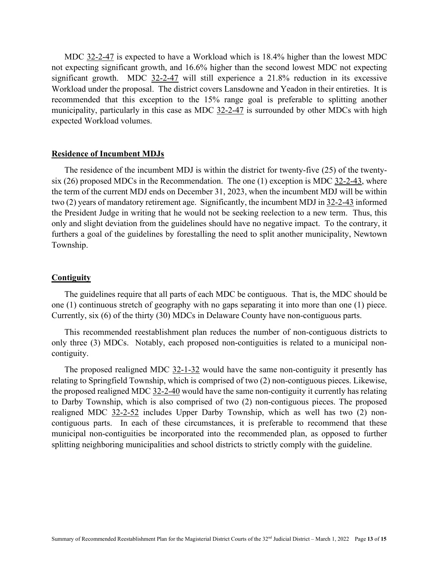MDC 32-2-47 is expected to have a Workload which is 18.4% higher than the lowest MDC not expecting significant growth, and 16.6% higher than the second lowest MDC not expecting significant growth. MDC 32-2-47 will still experience a 21.8% reduction in its excessive Workload under the proposal. The district covers Lansdowne and Yeadon in their entireties. It is recommended that this exception to the 15% range goal is preferable to splitting another municipality, particularly in this case as MDC 32-2-47 is surrounded by other MDCs with high expected Workload volumes.

#### **Residence of Incumbent MDJs**

The residence of the incumbent MDJ is within the district for twenty-five (25) of the twentysix (26) proposed MDCs in the Recommendation. The one (1) exception is MDC 32-2-43, where the term of the current MDJ ends on December 31, 2023, when the incumbent MDJ will be within two (2) years of mandatory retirement age. Significantly, the incumbent MDJ in 32-2-43 informed the President Judge in writing that he would not be seeking reelection to a new term. Thus, this only and slight deviation from the guidelines should have no negative impact. To the contrary, it furthers a goal of the guidelines by forestalling the need to split another municipality, Newtown Township.

#### **Contiguity**

The guidelines require that all parts of each MDC be contiguous. That is, the MDC should be one (1) continuous stretch of geography with no gaps separating it into more than one (1) piece. Currently, six (6) of the thirty (30) MDCs in Delaware County have non-contiguous parts.

This recommended reestablishment plan reduces the number of non-contiguous districts to only three (3) MDCs. Notably, each proposed non-contiguities is related to a municipal noncontiguity.

The proposed realigned MDC 32-1-32 would have the same non-contiguity it presently has relating to Springfield Township, which is comprised of two (2) non-contiguous pieces. Likewise, the proposed realigned MDC 32-2-40 would have the same non-contiguity it currently has relating to Darby Township, which is also comprised of two (2) non-contiguous pieces. The proposed realigned MDC 32-2-52 includes Upper Darby Township, which as well has two (2) noncontiguous parts. In each of these circumstances, it is preferable to recommend that these municipal non-contiguities be incorporated into the recommended plan, as opposed to further splitting neighboring municipalities and school districts to strictly comply with the guideline.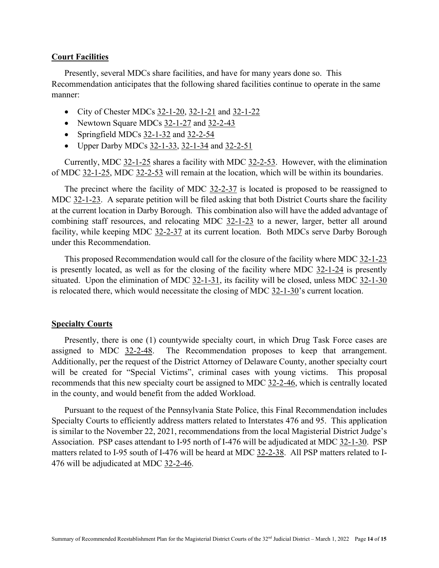#### **Court Facilities**

Presently, several MDCs share facilities, and have for many years done so. This Recommendation anticipates that the following shared facilities continue to operate in the same manner:

- City of Chester MDCs  $32-1-20$ ,  $32-1-21$  and  $32-1-22$
- Newtown Square MDCs 32-1-27 and 32-2-43
- Springfield MDCs 32-1-32 and 32-2-54
- Upper Darby MDCs  $32-1-33$ ,  $32-1-34$  and  $32-2-51$

Currently, MDC 32-1-25 shares a facility with MDC 32-2-53. However, with the elimination of MDC 32-1-25, MDC 32-2-53 will remain at the location, which will be within its boundaries.

The precinct where the facility of MDC 32-2-37 is located is proposed to be reassigned to MDC 32-1-23. A separate petition will be filed asking that both District Courts share the facility at the current location in Darby Borough. This combination also will have the added advantage of combining staff resources, and relocating MDC 32-1-23 to a newer, larger, better all around facility, while keeping MDC 32-2-37 at its current location. Both MDCs serve Darby Borough under this Recommendation.

This proposed Recommendation would call for the closure of the facility where MDC 32-1-23 is presently located, as well as for the closing of the facility where MDC 32-1-24 is presently situated. Upon the elimination of MDC 32-1-31, its facility will be closed, unless MDC 32-1-30 is relocated there, which would necessitate the closing of MDC  $32$ -1-30's current location.

#### **Specialty Courts**

Presently, there is one (1) countywide specialty court, in which Drug Task Force cases are assigned to MDC 32-2-48. The Recommendation proposes to keep that arrangement. Additionally, per the request of the District Attorney of Delaware County, another specialty court will be created for "Special Victims", criminal cases with young victims. This proposal recommends that this new specialty court be assigned to MDC 32-2-46, which is centrally located in the county, and would benefit from the added Workload.

Pursuant to the request of the Pennsylvania State Police, this Final Recommendation includes Specialty Courts to efficiently address matters related to Interstates 476 and 95. This application is similar to the November 22, 2021, recommendations from the local Magisterial District Judge's Association. PSP cases attendant to I-95 north of I-476 will be adjudicated at MDC 32-1-30. PSP matters related to I-95 south of I-476 will be heard at MDC 32-2-38. All PSP matters related to I-476 will be adjudicated at MDC 32-2-46.